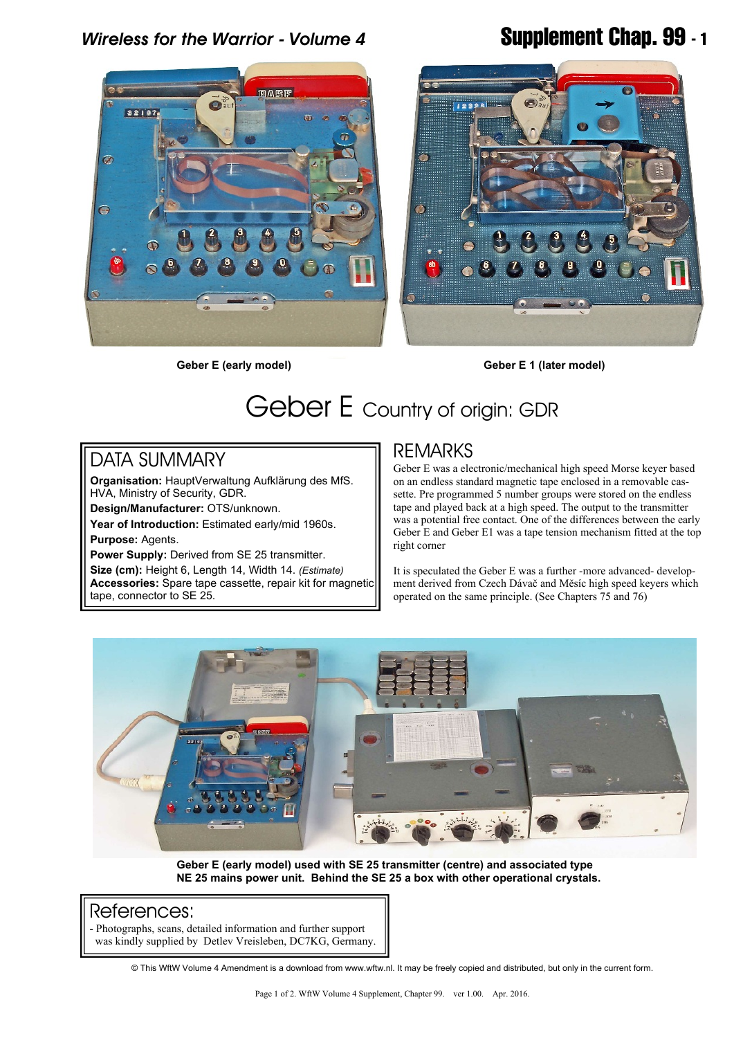*Wireless for the Warrior - Volume 4* **Supplement Chap. 99 - 1**



**Geber E (early model) Geber E 1 (later model)**

# Geber E Country of origin: GDR

# DATA SUMMARY

**Organisation:** HauptVerwaltung Aufklärung des MfS. HVA, Ministry of Security, GDR.

**Design/Manufacturer:** OTS/unknown.

**Year of Introduction:** Estimated early/mid 1960s. **Purpose:** Agents.

**Power Supply:** Derived from SE 25 transmitter. **Size (cm):** Height 6, Length 14, Width 14. *(Estimate)* **Accessories:** Spare tape cassette, repair kit for magnetic

tape, connector to SE 25.

## REMARKS

Geber E was a electronic/mechanical high speed Morse keyer based on an endless standard magnetic tape enclosed in a removable cassette. Pre programmed 5 number groups were stored on the endless tape and played back at a high speed. The output to the transmitter was a potential free contact. One of the differences between the early Geber E and Geber E1 was a tape tension mechanism fitted at the top right corner

It is speculated the Geber E was a further -more advanced- development derived from Czech Dávač and Měsíc high speed keyers which operated on the same principle. (See Chapters 75 and 76)



**Geber E (early model) used with SE 25 transmitter (centre) and associated type NE 25 mains power unit. Behind the SE 25 a box with other operational crystals.**

### References:

- Photographs, scans, detailed information and further support was kindly supplied by Detlev Vreisleben, DC7KG, Germany.

© This WftW Volume 4 Amendment is a download from www.wftw.nl. It may be freely copied and distributed, but only in the current form.